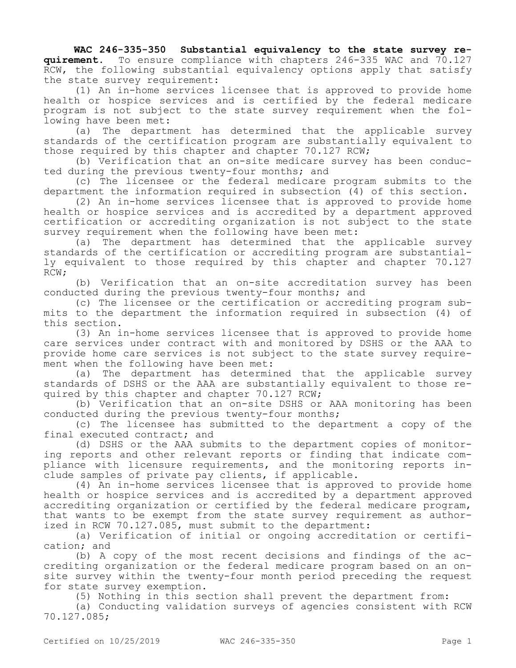**WAC 246-335-350 Substantial equivalency to the state survey requirement.** To ensure compliance with chapters 246-335 WAC and 70.127 RCW, the following substantial equivalency options apply that satisfy the state survey requirement:

(1) An in-home services licensee that is approved to provide home health or hospice services and is certified by the federal medicare program is not subject to the state survey requirement when the following have been met:

(a) The department has determined that the applicable survey standards of the certification program are substantially equivalent to those required by this chapter and chapter 70.127 RCW;

(b) Verification that an on-site medicare survey has been conducted during the previous twenty-four months; and

(c) The licensee or the federal medicare program submits to the department the information required in subsection (4) of this section.

(2) An in-home services licensee that is approved to provide home health or hospice services and is accredited by a department approved certification or accrediting organization is not subject to the state survey requirement when the following have been met:

(a) The department has determined that the applicable survey standards of the certification or accrediting program are substantially equivalent to those required by this chapter and chapter 70.127 RCW;

(b) Verification that an on-site accreditation survey has been conducted during the previous twenty-four months; and

(c) The licensee or the certification or accrediting program submits to the department the information required in subsection (4) of this section.

(3) An in-home services licensee that is approved to provide home care services under contract with and monitored by DSHS or the AAA to provide home care services is not subject to the state survey requirement when the following have been met:

(a) The department has determined that the applicable survey standards of DSHS or the AAA are substantially equivalent to those required by this chapter and chapter 70.127 RCW;

(b) Verification that an on-site DSHS or AAA monitoring has been conducted during the previous twenty-four months;

(c) The licensee has submitted to the department a copy of the final executed contract; and

(d) DSHS or the AAA submits to the department copies of monitoring reports and other relevant reports or finding that indicate compliance with licensure requirements, and the monitoring reports include samples of private pay clients, if applicable.

(4) An in-home services licensee that is approved to provide home health or hospice services and is accredited by a department approved accrediting organization or certified by the federal medicare program, that wants to be exempt from the state survey requirement as authorized in RCW 70.127.085, must submit to the department:

(a) Verification of initial or ongoing accreditation or certification; and

(b) A copy of the most recent decisions and findings of the accrediting organization or the federal medicare program based on an onsite survey within the twenty-four month period preceding the request for state survey exemption.

(5) Nothing in this section shall prevent the department from:

(a) Conducting validation surveys of agencies consistent with RCW 70.127.085;